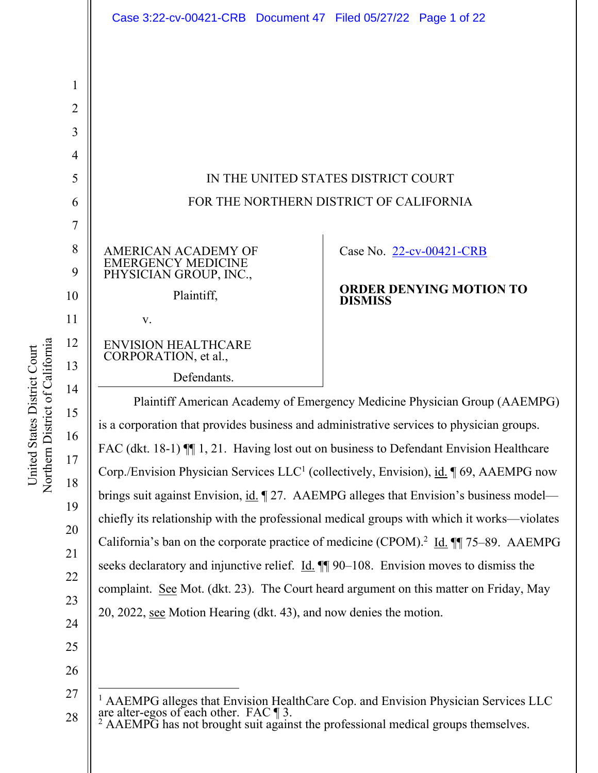|    | Case 3:22-cv-00421-CRB  Document 47  Filed 05/27/22  Page 1 of 22                                                                                                                                                                                                                                                                                                                                                                                                   |                                                  |  |  |
|----|---------------------------------------------------------------------------------------------------------------------------------------------------------------------------------------------------------------------------------------------------------------------------------------------------------------------------------------------------------------------------------------------------------------------------------------------------------------------|--------------------------------------------------|--|--|
|    |                                                                                                                                                                                                                                                                                                                                                                                                                                                                     |                                                  |  |  |
| 1  |                                                                                                                                                                                                                                                                                                                                                                                                                                                                     |                                                  |  |  |
| 2  |                                                                                                                                                                                                                                                                                                                                                                                                                                                                     |                                                  |  |  |
| 3  |                                                                                                                                                                                                                                                                                                                                                                                                                                                                     |                                                  |  |  |
| 4  |                                                                                                                                                                                                                                                                                                                                                                                                                                                                     |                                                  |  |  |
| 5  | IN THE UNITED STATES DISTRICT COURT                                                                                                                                                                                                                                                                                                                                                                                                                                 |                                                  |  |  |
| 6  | FOR THE NORTHERN DISTRICT OF CALIFORNIA                                                                                                                                                                                                                                                                                                                                                                                                                             |                                                  |  |  |
| 7  |                                                                                                                                                                                                                                                                                                                                                                                                                                                                     |                                                  |  |  |
| 8  | AMERICAN ACADEMY OF<br><b>EMERGENCY MEDICINE</b>                                                                                                                                                                                                                                                                                                                                                                                                                    | Case No. 22-cv-00421-CRB                         |  |  |
| 9  | PHYSICIAN GROUP, INC.,                                                                                                                                                                                                                                                                                                                                                                                                                                              |                                                  |  |  |
| 10 | Plaintiff,                                                                                                                                                                                                                                                                                                                                                                                                                                                          | <b>ORDER DENYING MOTION TO</b><br><b>DISMISS</b> |  |  |
| 11 | V.                                                                                                                                                                                                                                                                                                                                                                                                                                                                  |                                                  |  |  |
| 12 | <b>ENVISION HEALTHCARE</b><br>CORPORATION, et al.,                                                                                                                                                                                                                                                                                                                                                                                                                  |                                                  |  |  |
| 13 | Defendants.                                                                                                                                                                                                                                                                                                                                                                                                                                                         |                                                  |  |  |
| 14 | Plaintiff American Academy of Emergency Medicine Physician Group (AAEMPG)                                                                                                                                                                                                                                                                                                                                                                                           |                                                  |  |  |
| 15 | is a corporation that provides business and administrative services to physician groups.<br>FAC (dkt. 18-1) II 1, 21. Having lost out on business to Defendant Envision Healthcare<br>Corp./Envision Physician Services $LLC1$ (collectively, Envision), id. 169, AAEMPG now<br>brings suit against Envision, id. 127. AAEMPG alleges that Envision's business model—<br>chiefly its relationship with the professional medical groups with which it works—violates |                                                  |  |  |
| 16 |                                                                                                                                                                                                                                                                                                                                                                                                                                                                     |                                                  |  |  |
| 17 |                                                                                                                                                                                                                                                                                                                                                                                                                                                                     |                                                  |  |  |
| 18 |                                                                                                                                                                                                                                                                                                                                                                                                                                                                     |                                                  |  |  |
| 19 |                                                                                                                                                                                                                                                                                                                                                                                                                                                                     |                                                  |  |  |
| 20 | California's ban on the corporate practice of medicine (CPOM). <sup>2</sup> Id. $\P$ 75–89. AAEMPG                                                                                                                                                                                                                                                                                                                                                                  |                                                  |  |  |
| 21 | seeks declaratory and injunctive relief. $\underline{Id}$ . $\P\P$ 90–108. Envision moves to dismiss the                                                                                                                                                                                                                                                                                                                                                            |                                                  |  |  |

complaint. See Mot. (dkt. 23). The Court heard argument on this matter on Friday, May

20, 2022, see Motion Hearing (dkt. 43), and now denies the motion.

Northern District of California Northern District of California United States District Court United States District Court

22

23

24

25

26

27

<sup>&</sup>lt;sup>1</sup> AAEMPG alleges that Envision HealthCare Cop. and Envision Physician Services LLC are alter-egos of each other. FAC ¶ 3.<br><sup>2</sup> AAEMPG has not brought suit against the professional medical groups themselves.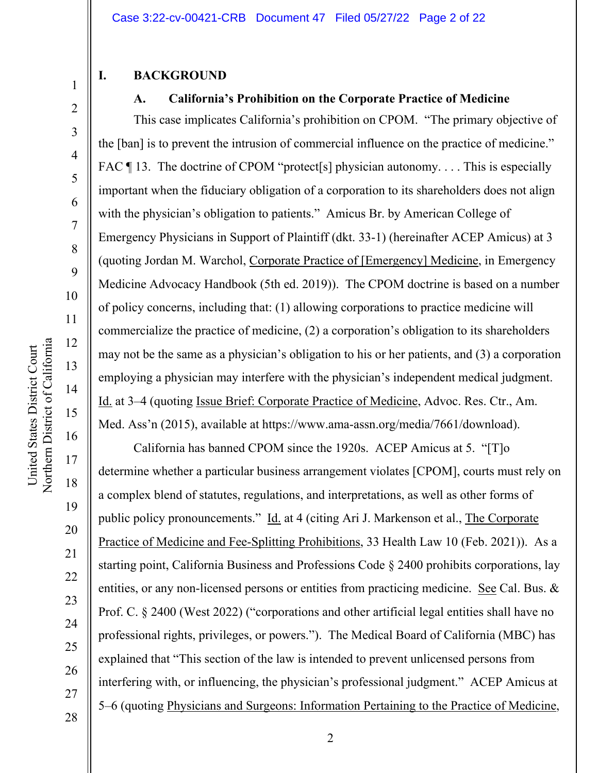### **I. BACKGROUND**

# **A. California's Prohibition on the Corporate Practice of Medicine**

This case implicates California's prohibition on CPOM. "The primary objective of the [ban] is to prevent the intrusion of commercial influence on the practice of medicine." FAC ¶ 13. The doctrine of CPOM "protect[s] physician autonomy.... This is especially important when the fiduciary obligation of a corporation to its shareholders does not align with the physician's obligation to patients." Amicus Br. by American College of Emergency Physicians in Support of Plaintiff (dkt. 33-1) (hereinafter ACEP Amicus) at 3 (quoting Jordan M. Warchol, Corporate Practice of [Emergency] Medicine, in Emergency Medicine Advocacy Handbook (5th ed. 2019)). The CPOM doctrine is based on a number of policy concerns, including that: (1) allowing corporations to practice medicine will commercialize the practice of medicine, (2) a corporation's obligation to its shareholders may not be the same as a physician's obligation to his or her patients, and (3) a corporation employing a physician may interfere with the physician's independent medical judgment. Id. at 3–4 (quoting Issue Brief: Corporate Practice of Medicine, Advoc. Res. Ctr., Am. Med. Ass'n (2015), available at https://www.ama-assn.org/media/7661/download).

California has banned CPOM since the 1920s. ACEP Amicus at 5. "[T]o determine whether a particular business arrangement violates [CPOM], courts must rely on a complex blend of statutes, regulations, and interpretations, as well as other forms of public policy pronouncements." Id. at 4 (citing Ari J. Markenson et al., The Corporate Practice of Medicine and Fee-Splitting Prohibitions, 33 Health Law 10 (Feb. 2021)). As a starting point, California Business and Professions Code § 2400 prohibits corporations, lay entities, or any non-licensed persons or entities from practicing medicine. See Cal. Bus. & Prof. C. § 2400 (West 2022) ("corporations and other artificial legal entities shall have no professional rights, privileges, or powers."). The Medical Board of California (MBC) has explained that "This section of the law is intended to prevent unlicensed persons from interfering with, or influencing, the physician's professional judgment." ACEP Amicus at 5–6 (quoting Physicians and Surgeons: Information Pertaining to the Practice of Medicine,

United States District Court

United States District Court

20

21

22

23

24

25

26

27

28

1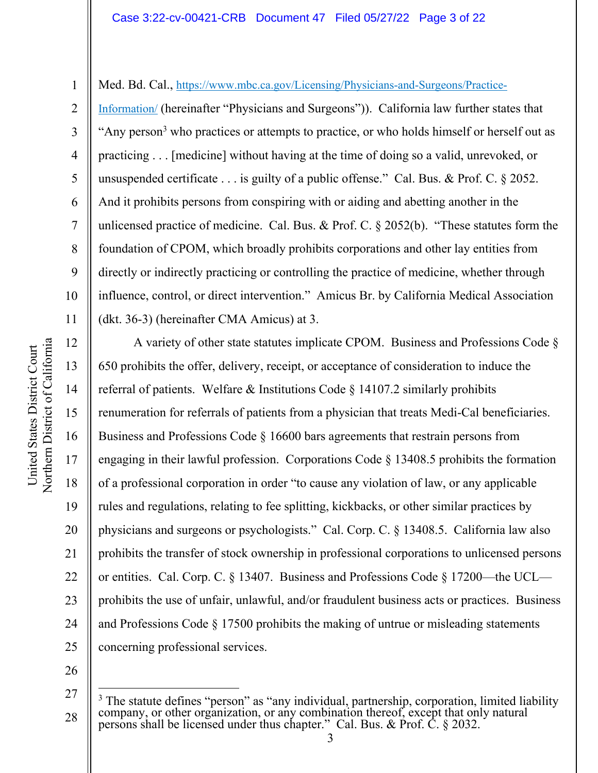2 3

4

5

6

7

8

9

10

11

12

13

14

15

16

17

18

19

20

21

22

23

24

1

Med. Bd. Cal., https://www.mbc.ca.gov/Licensing/Physicians-and-Surgeons/Practice-

Information/ (hereinafter "Physicians and Surgeons")). California law further states that "Any person<sup>3</sup> who practices or attempts to practice, or who holds himself or herself out as practicing . . . [medicine] without having at the time of doing so a valid, unrevoked, or unsuspended certificate . . . is guilty of a public offense." Cal. Bus. & Prof. C. § 2052. And it prohibits persons from conspiring with or aiding and abetting another in the unlicensed practice of medicine. Cal. Bus. & Prof. C. § 2052(b). "These statutes form the foundation of CPOM, which broadly prohibits corporations and other lay entities from directly or indirectly practicing or controlling the practice of medicine, whether through influence, control, or direct intervention." Amicus Br. by California Medical Association (dkt. 36-3) (hereinafter CMA Amicus) at 3.

A variety of other state statutes implicate CPOM. Business and Professions Code § 650 prohibits the offer, delivery, receipt, or acceptance of consideration to induce the referral of patients. Welfare & Institutions Code § 14107.2 similarly prohibits renumeration for referrals of patients from a physician that treats Medi-Cal beneficiaries. Business and Professions Code § 16600 bars agreements that restrain persons from engaging in their lawful profession. Corporations Code § 13408.5 prohibits the formation of a professional corporation in order "to cause any violation of law, or any applicable rules and regulations, relating to fee splitting, kickbacks, or other similar practices by physicians and surgeons or psychologists." Cal. Corp. C. § 13408.5. California law also prohibits the transfer of stock ownership in professional corporations to unlicensed persons or entities. Cal. Corp. C. § 13407. Business and Professions Code § 17200—the UCL prohibits the use of unfair, unlawful, and/or fraudulent business acts or practices. Business and Professions Code § 17500 prohibits the making of untrue or misleading statements concerning professional services.

26

<sup>27</sup>  28 <sup>3</sup> The statute defines "person" as "any individual, partnership, corporation, limited liability company, or other organization, or any combination thereof, except that only natural persons shall be licensed under thus chapter." Cal. Bus. & Prof. C. § 2032.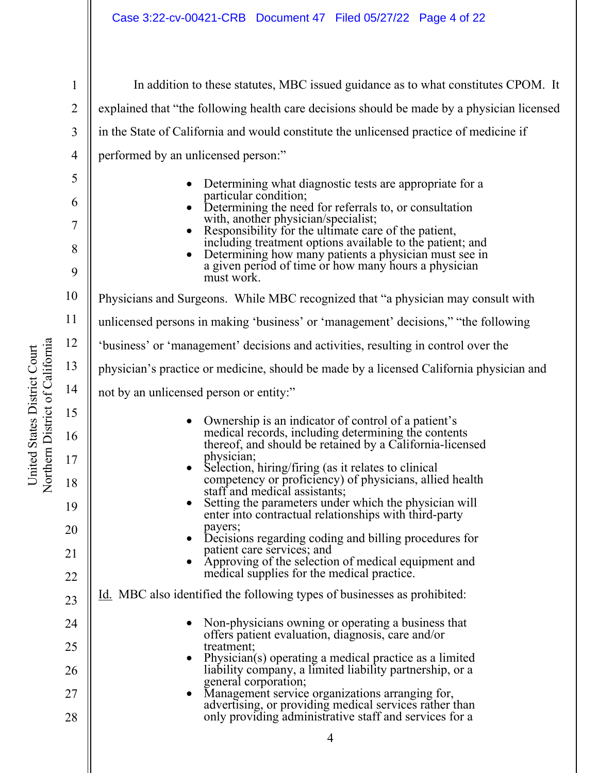| Jnited States District Court    |  |
|---------------------------------|--|
| Northern District of California |  |
|                                 |  |

| $\mathbf{1}$ | In addition to these statutes, MBC issued guidance as to what constitutes CPOM. It                                 |  |
|--------------|--------------------------------------------------------------------------------------------------------------------|--|
| 2            | explained that "the following health care decisions should be made by a physician licensed                         |  |
| 3            | in the State of California and would constitute the unlicensed practice of medicine if                             |  |
| 4            | performed by an unlicensed person:"                                                                                |  |
| 5            | Determining what diagnostic tests are appropriate for a                                                            |  |
| 6            | particular condition;<br>Determining the need for referrals to, or consultation                                    |  |
| 7            | with, another physician/specialist;<br>Responsibility for the ultimate care of the patient,                        |  |
| 8            | including treatment options available to the patient; and<br>Determining how many patients a physician must see in |  |
| 9            | a given period of time or how many hours a physician<br>must work.                                                 |  |
| 10           | Physicians and Surgeons. While MBC recognized that "a physician may consult with                                   |  |
| 11           | unlicensed persons in making 'business' or 'management' decisions," "the following                                 |  |
| 12           | 'business' or 'management' decisions and activities, resulting in control over the                                 |  |
| 13           | physician's practice or medicine, should be made by a licensed California physician and                            |  |
| 14           | not by an unlicensed person or entity:"                                                                            |  |
| 15           | Ownership is an indicator of control of a patient's                                                                |  |
| 16           | medical records, including determining the contents<br>thereof, and should be retained by a California-licensed    |  |
| 17           | physician;<br>Selection, hiring/firing (as it relates to clinical                                                  |  |
| 18           | competency or proficiency) of physicians, allied health<br>staff and medical assistants;                           |  |
| 19           | Setting the parameters under which the physician will<br>enter into contractual relationships with third-party     |  |
| 20           | payers;<br>Decisions regarding coding and billing procedures for                                                   |  |
| 21           | patient care services; and<br>Approving of the selection of medical equipment and                                  |  |
| 22           | medical supplies for the medical practice.                                                                         |  |
| 23           | Id. MBC also identified the following types of businesses as prohibited:                                           |  |
| 24           | Non-physicians owning or operating a business that<br>offers patient evaluation, diagnosis, care and/or            |  |
| 25           | treatment;<br>Physician(s) operating a medical practice as a limited                                               |  |
| 26           | liability company, a limited liability partnership, or a<br>general corporation;                                   |  |
| 27           | Management service organizations arranging for,<br>advertising, or providing medical services rather than          |  |
| 28           | only providing administrative staff and services for a                                                             |  |
|              | 4                                                                                                                  |  |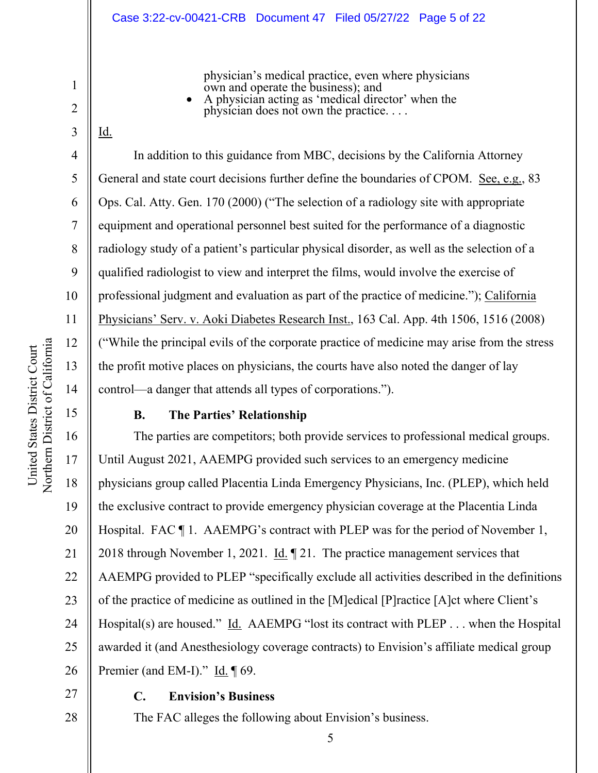#### Case 3:22-cv-00421-CRB Document 47 Filed 05/27/22 Page 5 of 22

physician's medical practice, even where physicians own and operate the business); and

 A physician acting as 'medical director' when the physician does not own the practice. . . .

3

Id.

1

2

4

5

6

7

8

9

10

11

12

13

14

15

16

17

18

19

20

21

22

23

24

25

26

In addition to this guidance from MBC, decisions by the California Attorney General and state court decisions further define the boundaries of CPOM. See, e.g., 83 Ops. Cal. Atty. Gen. 170 (2000) ("The selection of a radiology site with appropriate equipment and operational personnel best suited for the performance of a diagnostic radiology study of a patient's particular physical disorder, as well as the selection of a qualified radiologist to view and interpret the films, would involve the exercise of professional judgment and evaluation as part of the practice of medicine."); California Physicians' Serv. v. Aoki Diabetes Research Inst., 163 Cal. App. 4th 1506, 1516 (2008) ("While the principal evils of the corporate practice of medicine may arise from the stress the profit motive places on physicians, the courts have also noted the danger of lay control—a danger that attends all types of corporations.").

#### **B. The Parties' Relationship**

The parties are competitors; both provide services to professional medical groups. Until August 2021, AAEMPG provided such services to an emergency medicine physicians group called Placentia Linda Emergency Physicians, Inc. (PLEP), which held the exclusive contract to provide emergency physician coverage at the Placentia Linda Hospital. FAC ¶ 1. AAEMPG's contract with PLEP was for the period of November 1, 2018 through November 1, 2021. Id. ¶ 21. The practice management services that AAEMPG provided to PLEP "specifically exclude all activities described in the definitions of the practice of medicine as outlined in the [M]edical [P]ractice [A]ct where Client's Hospital(s) are housed." Id. AAEMPG "lost its contract with PLEP . . . when the Hospital awarded it (and Anesthesiology coverage contracts) to Envision's affiliate medical group Premier (and EM-I)." Id. ¶ 69.

5

# 27 28

#### **C. Envision's Business**

The FAC alleges the following about Envision's business.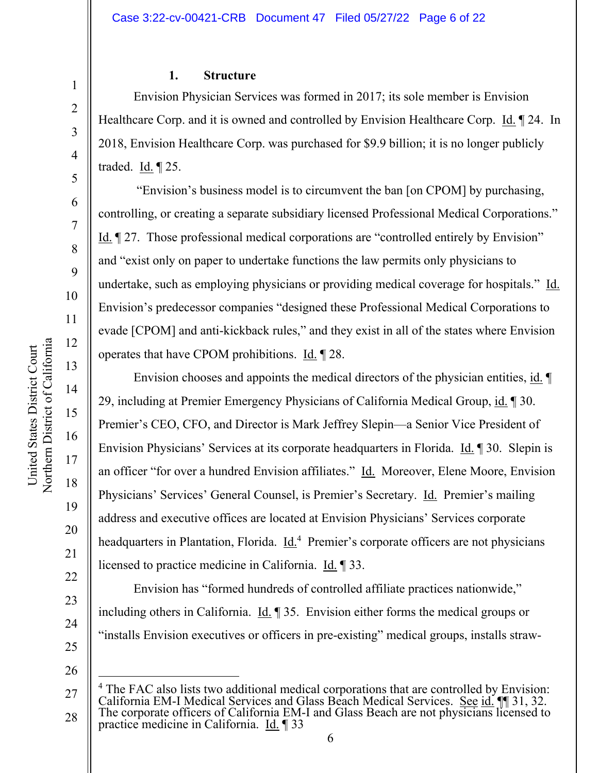#### **1. Structure**

Envision Physician Services was formed in 2017; its sole member is Envision Healthcare Corp. and it is owned and controlled by Envision Healthcare Corp. Id. ¶ 24. In 2018, Envision Healthcare Corp. was purchased for \$9.9 billion; it is no longer publicly traded. Id. ¶ 25.

 "Envision's business model is to circumvent the ban [on CPOM] by purchasing, controlling, or creating a separate subsidiary licensed Professional Medical Corporations." Id. ¶ 27. Those professional medical corporations are "controlled entirely by Envision" and "exist only on paper to undertake functions the law permits only physicians to undertake, such as employing physicians or providing medical coverage for hospitals." Id. Envision's predecessor companies "designed these Professional Medical Corporations to evade [CPOM] and anti-kickback rules," and they exist in all of the states where Envision operates that have CPOM prohibitions. Id. ¶ 28.

Envision chooses and appoints the medical directors of the physician entities, id. ¶ 29, including at Premier Emergency Physicians of California Medical Group, id. ¶ 30. Premier's CEO, CFO, and Director is Mark Jeffrey Slepin—a Senior Vice President of Envision Physicians' Services at its corporate headquarters in Florida. Id. ¶ 30. Slepin is an officer "for over a hundred Envision affiliates." Id. Moreover, Elene Moore, Envision Physicians' Services' General Counsel, is Premier's Secretary. Id. Premier's mailing address and executive offices are located at Envision Physicians' Services corporate headquarters in Plantation, Florida. *Id.*<sup>4</sup> Premier's corporate officers are not physicians licensed to practice medicine in California. Id. ¶ 33.

Envision has "formed hundreds of controlled affiliate practices nationwide," including others in California. Id. ¶ 35. Envision either forms the medical groups or "installs Envision executives or officers in pre-existing" medical groups, installs straw-

1

2

3

4

5

6

7

8

9

10

11

12

13

14

15

16

17

18

19

20

21

22

23

<sup>25</sup>  26

<sup>27</sup>  28 <sup>4</sup> The FAC also lists two additional medical corporations that are controlled by Envision: California EM-I Medical Services and Glass Beach Medical Services. See id. 11 31, 32. The corporate officers of California EM-I and Glass Beach are not physicians licensed to practice medicine in California. Id. ¶ 33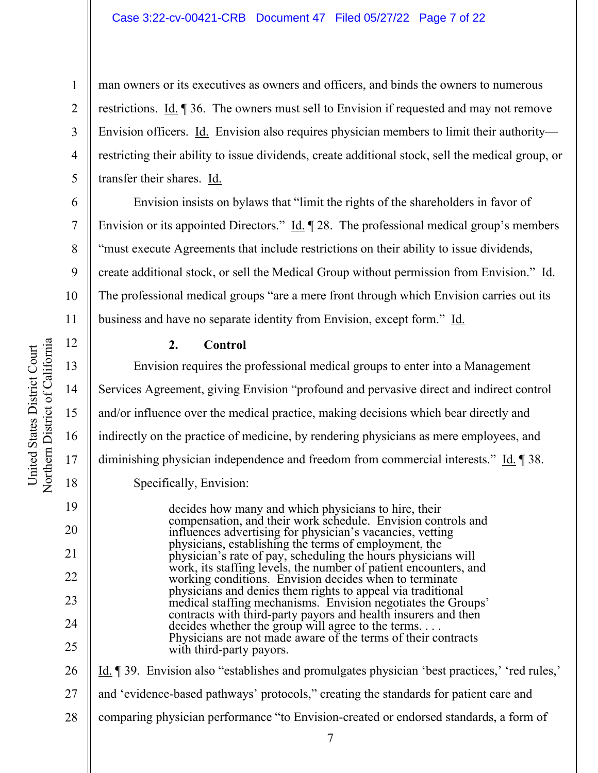#### Case 3:22-cv-00421-CRB Document 47 Filed 05/27/22 Page 7 of 22

man owners or its executives as owners and officers, and binds the owners to numerous restrictions. Id. ¶ 36. The owners must sell to Envision if requested and may not remove Envision officers. Id. Envision also requires physician members to limit their authority restricting their ability to issue dividends, create additional stock, sell the medical group, or transfer their shares. Id.

Envision insists on bylaws that "limit the rights of the shareholders in favor of Envision or its appointed Directors." Id. 128. The professional medical group's members "must execute Agreements that include restrictions on their ability to issue dividends, create additional stock, or sell the Medical Group without permission from Envision." Id. The professional medical groups "are a mere front through which Envision carries out its business and have no separate identity from Envision, except form." Id.

#### **2. Control**

Envision requires the professional medical groups to enter into a Management Services Agreement, giving Envision "profound and pervasive direct and indirect control and/or influence over the medical practice, making decisions which bear directly and indirectly on the practice of medicine, by rendering physicians as mere employees, and diminishing physician independence and freedom from commercial interests." Id. 138. Specifically, Envision:

> decides how many and which physicians to hire, their compensation, and their work schedule. Envision controls and influences advertising for physician's vacancies, vetting physicians, establishing the terms of employment, the physician's rate of pay, scheduling the hours physicians will work, its staffing levels, the number of patient encounters, and working conditions. Envision decides when to terminate physicians and denies them rights to appeal via traditional medical staffing mechanisms. Envision negotiates the Groups' contracts with third-party payors and health insurers and then decides whether the group will agree to the terms. . . . Physicians are not made aware of the terms of their contracts with third-party payors.

26 27 28 Id. ¶ 39. Envision also "establishes and promulgates physician 'best practices,' 'red rules,' and 'evidence-based pathways' protocols," creating the standards for patient care and comparing physician performance "to Envision-created or endorsed standards, a form of

1

2

3

4

5

6

7

8

9

10

11

12

13

14

15

16

17

18

19

20

21

22

23

24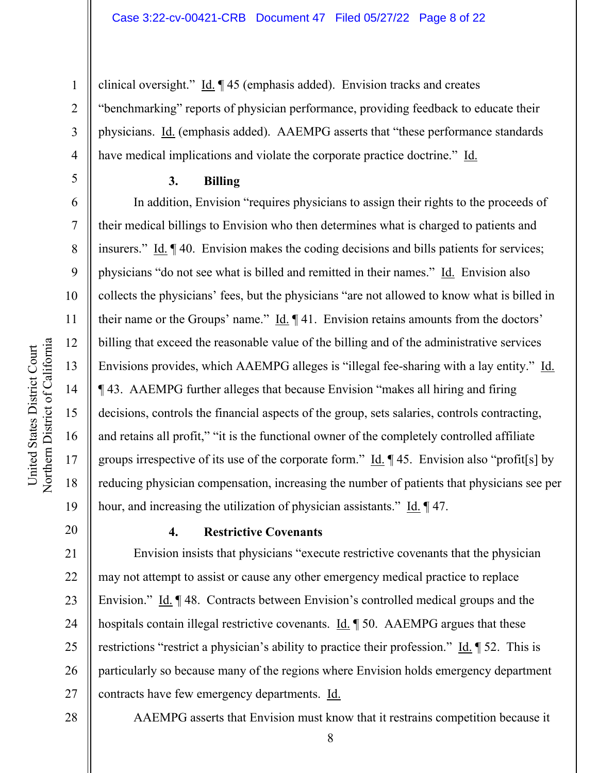clinical oversight." Id. ¶ 45 (emphasis added). Envision tracks and creates "benchmarking" reports of physician performance, providing feedback to educate their physicians. Id. (emphasis added). AAEMPG asserts that "these performance standards have medical implications and violate the corporate practice doctrine." Id.

#### **3. Billing**

In addition, Envision "requires physicians to assign their rights to the proceeds of their medical billings to Envision who then determines what is charged to patients and insurers." Id. ¶ 40. Envision makes the coding decisions and bills patients for services; physicians "do not see what is billed and remitted in their names." Id. Envision also collects the physicians' fees, but the physicians "are not allowed to know what is billed in their name or the Groups' name." Id.  $\P$  41. Envision retains amounts from the doctors' billing that exceed the reasonable value of the billing and of the administrative services Envisions provides, which AAEMPG alleges is "illegal fee-sharing with a lay entity." Id. ¶ 43. AAEMPG further alleges that because Envision "makes all hiring and firing decisions, controls the financial aspects of the group, sets salaries, controls contracting, and retains all profit," "it is the functional owner of the completely controlled affiliate groups irrespective of its use of the corporate form."  $\underline{Id}$ .  $\P$ 45. Envision also "profit [s] by reducing physician compensation, increasing the number of patients that physicians see per hour, and increasing the utilization of physician assistants." Id. ¶ 47.

# 20

1

2

3

4

5

6

7

8

9

10

11

12

13

14

15

16

17

18

19

# **4. Restrictive Covenants**

21 22 23 24 25 26 27 Envision insists that physicians "execute restrictive covenants that the physician may not attempt to assist or cause any other emergency medical practice to replace Envision." Id. ¶48. Contracts between Envision's controlled medical groups and the hospitals contain illegal restrictive covenants. Id. 1 50. AAEMPG argues that these restrictions "restrict a physician's ability to practice their profession." <u>Id.</u>  $\parallel$  52. This is particularly so because many of the regions where Envision holds emergency department contracts have few emergency departments. Id.

28

AAEMPG asserts that Envision must know that it restrains competition because it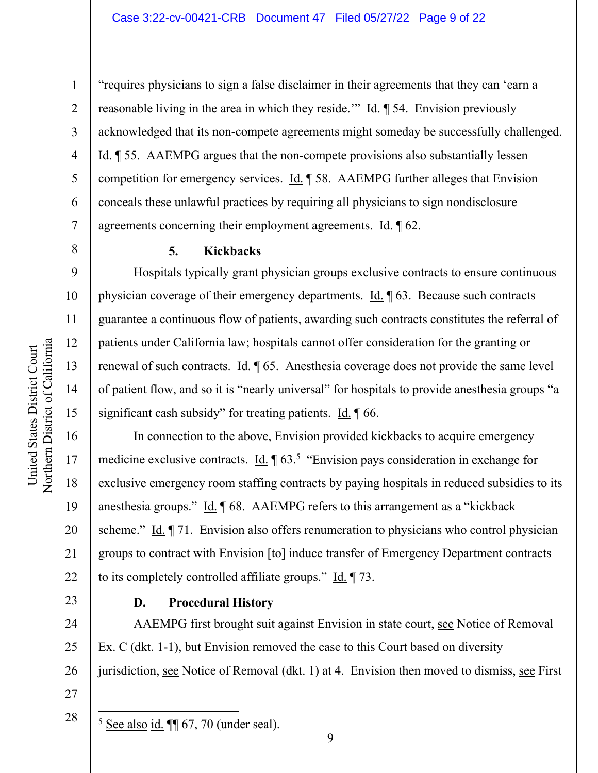United States District Court

United States District Court

1

2

3

4

5

6

7

8

9

18

19

20

21

22

23

"requires physicians to sign a false disclaimer in their agreements that they can 'earn a reasonable living in the area in which they reside.'" Id. ¶ 54. Envision previously acknowledged that its non-compete agreements might someday be successfully challenged. Id. ¶ 55. AAEMPG argues that the non-compete provisions also substantially lessen competition for emergency services. Id. ¶ 58. AAEMPG further alleges that Envision conceals these unlawful practices by requiring all physicians to sign nondisclosure agreements concerning their employment agreements. Id. ¶ 62.

#### **5. Kickbacks**

Hospitals typically grant physician groups exclusive contracts to ensure continuous physician coverage of their emergency departments. Id. ¶ 63. Because such contracts guarantee a continuous flow of patients, awarding such contracts constitutes the referral of patients under California law; hospitals cannot offer consideration for the granting or renewal of such contracts. Id. ¶ 65. Anesthesia coverage does not provide the same level of patient flow, and so it is "nearly universal" for hospitals to provide anesthesia groups "a significant cash subsidy" for treating patients.  $Id. \n\mathcal{A}$  66.

In connection to the above, Envision provided kickbacks to acquire emergency medicine exclusive contracts.  $\underline{Id}$ .  $\P 63$ <sup>5</sup> "Envision pays consideration in exchange for exclusive emergency room staffing contracts by paying hospitals in reduced subsidies to its anesthesia groups." Id. ¶ 68. AAEMPG refers to this arrangement as a "kickback scheme." Id. ¶ 71. Envision also offers renumeration to physicians who control physician groups to contract with Envision [to] induce transfer of Emergency Department contracts to its completely controlled affiliate groups." Id. ¶ 73.

# **D. Procedural History**

24 25 26 27 AAEMPG first brought suit against Envision in state court, see Notice of Removal Ex. C (dkt. 1-1), but Envision removed the case to this Court based on diversity jurisdiction, see Notice of Removal (dkt. 1) at 4. Envision then moved to dismiss, see First

28

 $<sup>5</sup>$  See also id.  $\P$  67, 70 (under seal).</sup>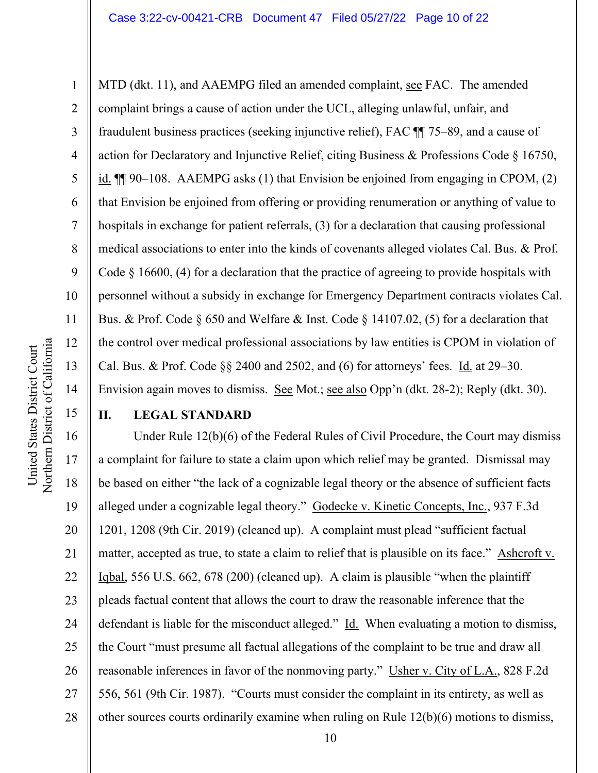MTD (dkt. 11), and AAEMPG filed an amended complaint, see FAC. The amended complaint brings a cause of action under the UCL, alleging unlawful, unfair, and fraudulent business practices (seeking injunctive relief), FAC ¶¶ 75–89, and a cause of action for Declaratory and Injunctive Relief, citing Business & Professions Code § 16750, id. ¶¶ 90–108. AAEMPG asks (1) that Envision be enjoined from engaging in CPOM, (2) that Envision be enjoined from offering or providing renumeration or anything of value to hospitals in exchange for patient referrals, (3) for a declaration that causing professional medical associations to enter into the kinds of covenants alleged violates Cal. Bus. & Prof. Code § 16600, (4) for a declaration that the practice of agreeing to provide hospitals with personnel without a subsidy in exchange for Emergency Department contracts violates Cal. Bus. & Prof. Code § 650 and Welfare & Inst. Code § 14107.02, (5) for a declaration that the control over medical professional associations by law entities is CPOM in violation of Cal. Bus. & Prof. Code §§ 2400 and 2502, and (6) for attorneys' fees. Id. at 29–30. Envision again moves to dismiss. See Mot.; see also Opp'n (dkt. 28-2); Reply (dkt. 30).

15

1

2

3

4

5

6

7

8

9

10

11

12

13

14

# **II. LEGAL STANDARD**

16 17 18 19 20 21 22 23 24 25 26 27 28 Under Rule 12(b)(6) of the Federal Rules of Civil Procedure, the Court may dismiss a complaint for failure to state a claim upon which relief may be granted. Dismissal may be based on either "the lack of a cognizable legal theory or the absence of sufficient facts alleged under a cognizable legal theory." Godecke v. Kinetic Concepts, Inc., 937 F.3d 1201, 1208 (9th Cir. 2019) (cleaned up). A complaint must plead "sufficient factual matter, accepted as true, to state a claim to relief that is plausible on its face." Ashcroft v. Iqbal, 556 U.S. 662, 678 (200) (cleaned up). A claim is plausible "when the plaintiff pleads factual content that allows the court to draw the reasonable inference that the defendant is liable for the misconduct alleged." Id. When evaluating a motion to dismiss, the Court "must presume all factual allegations of the complaint to be true and draw all reasonable inferences in favor of the nonmoving party." Usher v. City of L.A., 828 F.2d 556, 561 (9th Cir. 1987). "Courts must consider the complaint in its entirety, as well as other sources courts ordinarily examine when ruling on Rule 12(b)(6) motions to dismiss,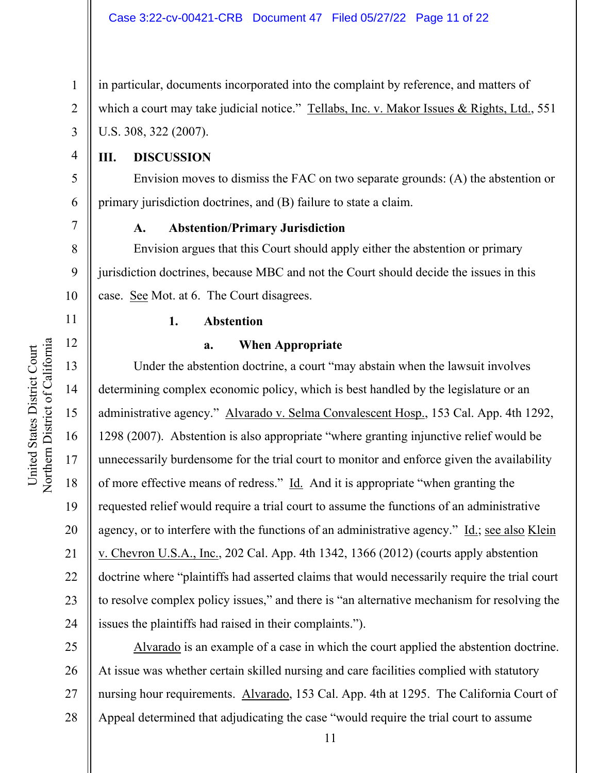in particular, documents incorporated into the complaint by reference, and matters of which a court may take judicial notice." Tellabs, Inc. v. Makor Issues & Rights, Ltd., 551 U.S. 308, 322 (2007).

# **III. DISCUSSION**

1

2

3

4

5

6

7

8

9

10

11

12

13

14

15

16

17

18

19

20

21

22

23

24

Envision moves to dismiss the FAC on two separate grounds: (A) the abstention or primary jurisdiction doctrines, and (B) failure to state a claim.

#### **A. Abstention/Primary Jurisdiction**

Envision argues that this Court should apply either the abstention or primary jurisdiction doctrines, because MBC and not the Court should decide the issues in this case. See Mot. at 6. The Court disagrees.

#### **1. Abstention**

#### **a. When Appropriate**

Under the abstention doctrine, a court "may abstain when the lawsuit involves determining complex economic policy, which is best handled by the legislature or an administrative agency." Alvarado v. Selma Convalescent Hosp., 153 Cal. App. 4th 1292, 1298 (2007). Abstention is also appropriate "where granting injunctive relief would be unnecessarily burdensome for the trial court to monitor and enforce given the availability of more effective means of redress." Id. And it is appropriate "when granting the requested relief would require a trial court to assume the functions of an administrative agency, or to interfere with the functions of an administrative agency." Id.; see also Klein v. Chevron U.S.A., Inc., 202 Cal. App. 4th 1342, 1366 (2012) (courts apply abstention doctrine where "plaintiffs had asserted claims that would necessarily require the trial court to resolve complex policy issues," and there is "an alternative mechanism for resolving the issues the plaintiffs had raised in their complaints.").

25 26 27 28 Alvarado is an example of a case in which the court applied the abstention doctrine. At issue was whether certain skilled nursing and care facilities complied with statutory nursing hour requirements. Alvarado, 153 Cal. App. 4th at 1295. The California Court of Appeal determined that adjudicating the case "would require the trial court to assume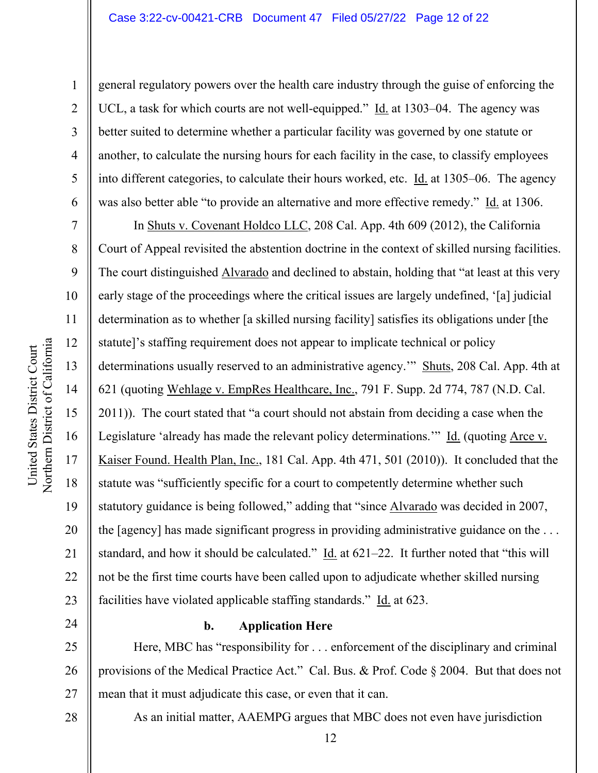1

2

3

4

5

6

7

8

9

13

15

17

18

general regulatory powers over the health care industry through the guise of enforcing the UCL, a task for which courts are not well-equipped."  $\underline{Id}$  at 1303–04. The agency was better suited to determine whether a particular facility was governed by one statute or another, to calculate the nursing hours for each facility in the case, to classify employees into different categories, to calculate their hours worked, etc. Id. at 1305–06. The agency was also better able "to provide an alternative and more effective remedy." Id. at 1306.

10 11 12 14 16 19 20 21 22 23 In Shuts v. Covenant Holdco LLC, 208 Cal. App. 4th 609 (2012), the California Court of Appeal revisited the abstention doctrine in the context of skilled nursing facilities. The court distinguished Alvarado and declined to abstain, holding that "at least at this very early stage of the proceedings where the critical issues are largely undefined, '[a] judicial determination as to whether [a skilled nursing facility] satisfies its obligations under [the statute]'s staffing requirement does not appear to implicate technical or policy determinations usually reserved to an administrative agency." Shuts, 208 Cal. App. 4th at 621 (quoting Wehlage v. EmpRes Healthcare, Inc., 791 F. Supp. 2d 774, 787 (N.D. Cal. 2011)). The court stated that "a court should not abstain from deciding a case when the Legislature 'already has made the relevant policy determinations.'" Id. (quoting Arce v. Kaiser Found. Health Plan, Inc., 181 Cal. App. 4th 471, 501 (2010)). It concluded that the statute was "sufficiently specific for a court to competently determine whether such statutory guidance is being followed," adding that "since Alvarado was decided in 2007, the [agency] has made significant progress in providing administrative guidance on the . . . standard, and how it should be calculated." Id. at 621–22. It further noted that "this will not be the first time courts have been called upon to adjudicate whether skilled nursing facilities have violated applicable staffing standards." Id. at 623.

24

#### **b. Application Here**

25 26 27 Here, MBC has "responsibility for . . . enforcement of the disciplinary and criminal provisions of the Medical Practice Act." Cal. Bus. & Prof. Code § 2004. But that does not mean that it must adjudicate this case, or even that it can.

28

As an initial matter, AAEMPG argues that MBC does not even have jurisdiction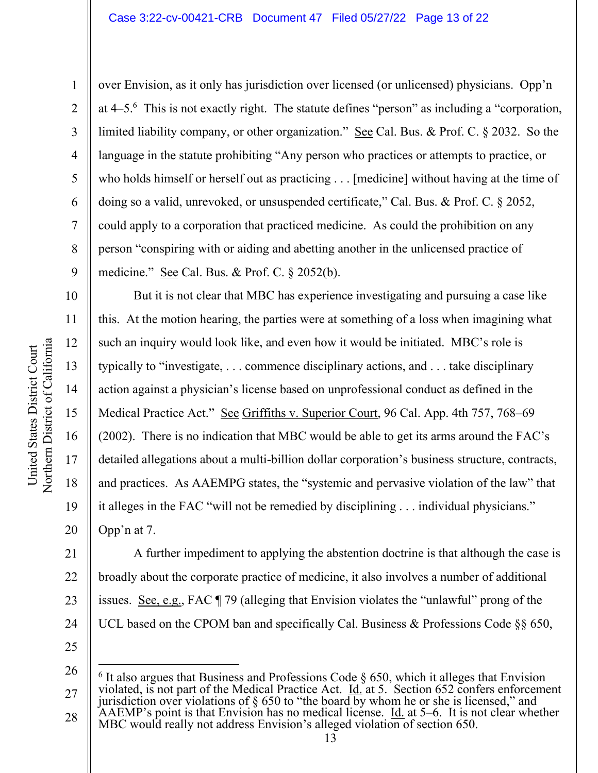Northern District of California Northern District of California United States District Court United States District Court

10

11

12

13

14

15

16

17

18

19

20

1 2 3 4 5 6 7 8 9 over Envision, as it only has jurisdiction over licensed (or unlicensed) physicians. Opp'n at 4–5.<sup>6</sup> This is not exactly right. The statute defines "person" as including a "corporation, limited liability company, or other organization." See Cal. Bus. & Prof. C. § 2032. So the language in the statute prohibiting "Any person who practices or attempts to practice, or who holds himself or herself out as practicing . . . [medicine] without having at the time of doing so a valid, unrevoked, or unsuspended certificate," Cal. Bus. & Prof. C. § 2052, could apply to a corporation that practiced medicine. As could the prohibition on any person "conspiring with or aiding and abetting another in the unlicensed practice of medicine." See Cal. Bus. & Prof. C. § 2052(b).

But it is not clear that MBC has experience investigating and pursuing a case like this. At the motion hearing, the parties were at something of a loss when imagining what such an inquiry would look like, and even how it would be initiated. MBC's role is typically to "investigate, . . . commence disciplinary actions, and . . . take disciplinary action against a physician's license based on unprofessional conduct as defined in the Medical Practice Act." See Griffiths v. Superior Court, 96 Cal. App. 4th 757, 768–69 (2002). There is no indication that MBC would be able to get its arms around the FAC's detailed allegations about a multi-billion dollar corporation's business structure, contracts, and practices. As AAEMPG states, the "systemic and pervasive violation of the law" that it alleges in the FAC "will not be remedied by disciplining . . . individual physicians." Opp'n at 7.

21 22 23 24 A further impediment to applying the abstention doctrine is that although the case is broadly about the corporate practice of medicine, it also involves a number of additional issues. See, e.g., FAC ¶ 79 (alleging that Envision violates the "unlawful" prong of the UCL based on the CPOM ban and specifically Cal. Business & Professions Code §§ 650,

<sup>26</sup>  27 28  $6$  It also argues that Business and Professions Code  $\S$  650, which it alleges that Envision violated, is not part of the Medical Practice Act.  $\underline{Id}$  at 5. Section 652 confers enforcement jurisdiction over violations of  $\S 650$  to "the board by whom he or she is licensed," and AAEMP's point is that Envision has no medical license.  $\underline{Id}$  at 5–6. It is not clear whether MBC would really not address Envision's alleged violation of section 650.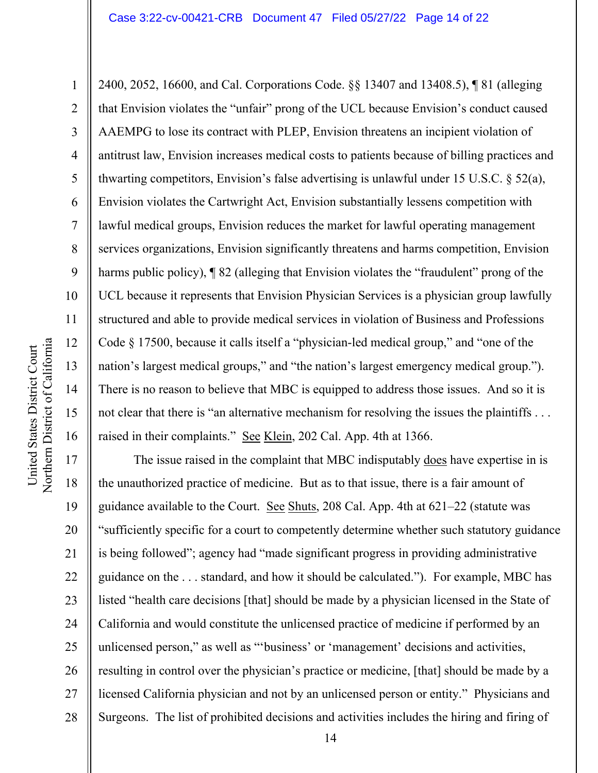1 2 3 4 5 6 7 8 9 10 11 12 13 14 15 16 2400, 2052, 16600, and Cal. Corporations Code. §§ 13407 and 13408.5), ¶ 81 (alleging that Envision violates the "unfair" prong of the UCL because Envision's conduct caused AAEMPG to lose its contract with PLEP, Envision threatens an incipient violation of antitrust law, Envision increases medical costs to patients because of billing practices and thwarting competitors, Envision's false advertising is unlawful under 15 U.S.C. § 52(a), Envision violates the Cartwright Act, Envision substantially lessens competition with lawful medical groups, Envision reduces the market for lawful operating management services organizations, Envision significantly threatens and harms competition, Envision harms public policy),  $\sqrt{\frac{82}{2}}$  (alleging that Envision violates the "fraudulent" prong of the UCL because it represents that Envision Physician Services is a physician group lawfully structured and able to provide medical services in violation of Business and Professions Code § 17500, because it calls itself a "physician-led medical group," and "one of the nation's largest medical groups," and "the nation's largest emergency medical group."). There is no reason to believe that MBC is equipped to address those issues. And so it is not clear that there is "an alternative mechanism for resolving the issues the plaintiffs ... raised in their complaints." See Klein, 202 Cal. App. 4th at 1366.

17 18 19 20 21 22 23 24 25 26 27 28 The issue raised in the complaint that MBC indisputably does have expertise in is the unauthorized practice of medicine. But as to that issue, there is a fair amount of guidance available to the Court. See Shuts, 208 Cal. App. 4th at  $621-22$  (statute was "sufficiently specific for a court to competently determine whether such statutory guidance is being followed"; agency had "made significant progress in providing administrative guidance on the . . . standard, and how it should be calculated."). For example, MBC has listed "health care decisions [that] should be made by a physician licensed in the State of California and would constitute the unlicensed practice of medicine if performed by an unlicensed person," as well as "'business' or 'management' decisions and activities, resulting in control over the physician's practice or medicine, [that] should be made by a licensed California physician and not by an unlicensed person or entity." Physicians and Surgeons. The list of prohibited decisions and activities includes the hiring and firing of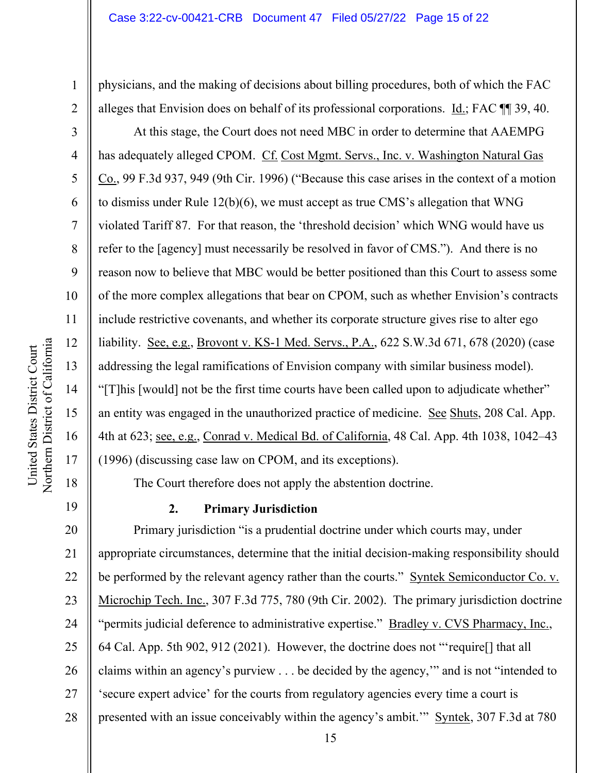physicians, and the making of decisions about billing procedures, both of which the FAC alleges that Envision does on behalf of its professional corporations. Id.; FAC ¶¶ 39, 40.

At this stage, the Court does not need MBC in order to determine that AAEMPG has adequately alleged CPOM. Cf. Cost Mgmt. Servs., Inc. v. Washington Natural Gas Co., 99 F.3d 937, 949 (9th Cir. 1996) ("Because this case arises in the context of a motion to dismiss under Rule 12(b)(6), we must accept as true CMS's allegation that WNG violated Tariff 87. For that reason, the 'threshold decision' which WNG would have us refer to the [agency] must necessarily be resolved in favor of CMS."). And there is no reason now to believe that MBC would be better positioned than this Court to assess some of the more complex allegations that bear on CPOM, such as whether Envision's contracts include restrictive covenants, and whether its corporate structure gives rise to alter ego liability. See, e.g., Brovont v. KS-1 Med. Servs., P.A., 622 S.W.3d 671, 678 (2020) (case addressing the legal ramifications of Envision company with similar business model). "[T]his [would] not be the first time courts have been called upon to adjudicate whether" an entity was engaged in the unauthorized practice of medicine. See Shuts, 208 Cal. App. 4th at 623; see, e.g., Conrad v. Medical Bd. of California, 48 Cal. App. 4th 1038, 1042–43 (1996) (discussing case law on CPOM, and its exceptions).

The Court therefore does not apply the abstention doctrine.

# **2. Primary Jurisdiction**

20 21 22 23 24 25 26 27 28 Primary jurisdiction "is a prudential doctrine under which courts may, under appropriate circumstances, determine that the initial decision-making responsibility should be performed by the relevant agency rather than the courts." Syntek Semiconductor Co. v. Microchip Tech. Inc., 307 F.3d 775, 780 (9th Cir. 2002). The primary jurisdiction doctrine "permits judicial deference to administrative expertise." Bradley v. CVS Pharmacy, Inc., 64 Cal. App. 5th 902, 912 (2021). However, the doctrine does not "'require[] that all claims within an agency's purview . . . be decided by the agency,'" and is not "intended to 'secure expert advice' for the courts from regulatory agencies every time a court is presented with an issue conceivably within the agency's ambit.'" Syntek, 307 F.3d at 780

1

2

3

4

5

6

7

8

9

10

11

12

13

14

15

16

17

18

19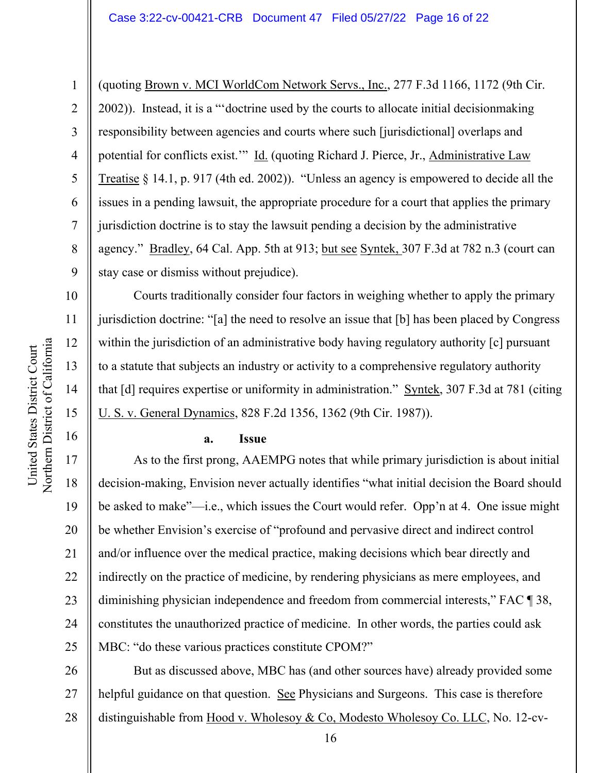(quoting Brown v. MCI WorldCom Network Servs., Inc., 277 F.3d 1166, 1172 (9th Cir. 2002)). Instead, it is a "'doctrine used by the courts to allocate initial decisionmaking responsibility between agencies and courts where such [jurisdictional] overlaps and potential for conflicts exist.'" Id. (quoting Richard J. Pierce, Jr., Administrative Law Treatise § 14.1, p. 917 (4th ed. 2002)). "Unless an agency is empowered to decide all the issues in a pending lawsuit, the appropriate procedure for a court that applies the primary jurisdiction doctrine is to stay the lawsuit pending a decision by the administrative agency." Bradley, 64 Cal. App. 5th at 913; but see Syntek, 307 F.3d at 782 n.3 (court can stay case or dismiss without prejudice).

Courts traditionally consider four factors in weighing whether to apply the primary jurisdiction doctrine: "[a] the need to resolve an issue that [b] has been placed by Congress within the jurisdiction of an administrative body having regulatory authority [c] pursuant to a statute that subjects an industry or activity to a comprehensive regulatory authority that [d] requires expertise or uniformity in administration." Syntek, 307 F.3d at 781 (citing U. S. v. General Dynamics, 828 F.2d 1356, 1362 (9th Cir. 1987)).

#### **a. Issue**

As to the first prong, AAEMPG notes that while primary jurisdiction is about initial decision-making, Envision never actually identifies "what initial decision the Board should be asked to make"—i.e., which issues the Court would refer. Opp'n at 4. One issue might be whether Envision's exercise of "profound and pervasive direct and indirect control and/or influence over the medical practice, making decisions which bear directly and indirectly on the practice of medicine, by rendering physicians as mere employees, and diminishing physician independence and freedom from commercial interests," FAC ¶ 38, constitutes the unauthorized practice of medicine. In other words, the parties could ask MBC: "do these various practices constitute CPOM?"

26 27 28 But as discussed above, MBC has (and other sources have) already provided some helpful guidance on that question. See Physicians and Surgeons. This case is therefore distinguishable from Hood v. Wholesoy & Co, Modesto Wholesoy Co. LLC, No. 12-cv-

1

2

3

4

5

6

7

8

9

10

11

12

13

14

15

16

17

18

19

20

21

22

23

24

25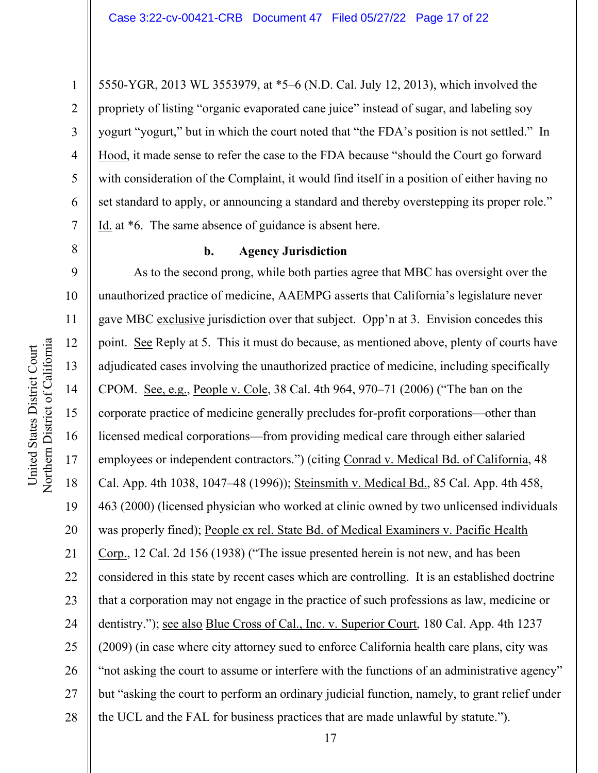5550-YGR, 2013 WL 3553979, at \*5–6 (N.D. Cal. July 12, 2013), which involved the propriety of listing "organic evaporated cane juice" instead of sugar, and labeling soy yogurt "yogurt," but in which the court noted that "the FDA's position is not settled." In Hood, it made sense to refer the case to the FDA because "should the Court go forward with consideration of the Complaint, it would find itself in a position of either having no set standard to apply, or announcing a standard and thereby overstepping its proper role." Id. at \*6. The same absence of guidance is absent here.

8

9

12

13

17

18

19

1

2

3

4

5

6

7

#### **b. Agency Jurisdiction**

10 11 14 15 16 20 21 22 23 24 25 26 27 28 As to the second prong, while both parties agree that MBC has oversight over the unauthorized practice of medicine, AAEMPG asserts that California's legislature never gave MBC exclusive jurisdiction over that subject. Opp'n at 3. Envision concedes this point. See Reply at 5. This it must do because, as mentioned above, plenty of courts have adjudicated cases involving the unauthorized practice of medicine, including specifically CPOM. See, e.g., People v. Cole, 38 Cal. 4th 964, 970–71 (2006) ("The ban on the corporate practice of medicine generally precludes for-profit corporations—other than licensed medical corporations—from providing medical care through either salaried employees or independent contractors.") (citing Conrad v. Medical Bd. of California, 48 Cal. App. 4th 1038, 1047–48 (1996)); Steinsmith v. Medical Bd., 85 Cal. App. 4th 458, 463 (2000) (licensed physician who worked at clinic owned by two unlicensed individuals was properly fined); People ex rel. State Bd. of Medical Examiners v. Pacific Health Corp., 12 Cal. 2d 156 (1938) ("The issue presented herein is not new, and has been considered in this state by recent cases which are controlling. It is an established doctrine that a corporation may not engage in the practice of such professions as law, medicine or dentistry."); see also Blue Cross of Cal., Inc. v. Superior Court, 180 Cal. App. 4th 1237 (2009) (in case where city attorney sued to enforce California health care plans, city was "not asking the court to assume or interfere with the functions of an administrative agency" but "asking the court to perform an ordinary judicial function, namely, to grant relief under the UCL and the FAL for business practices that are made unlawful by statute.").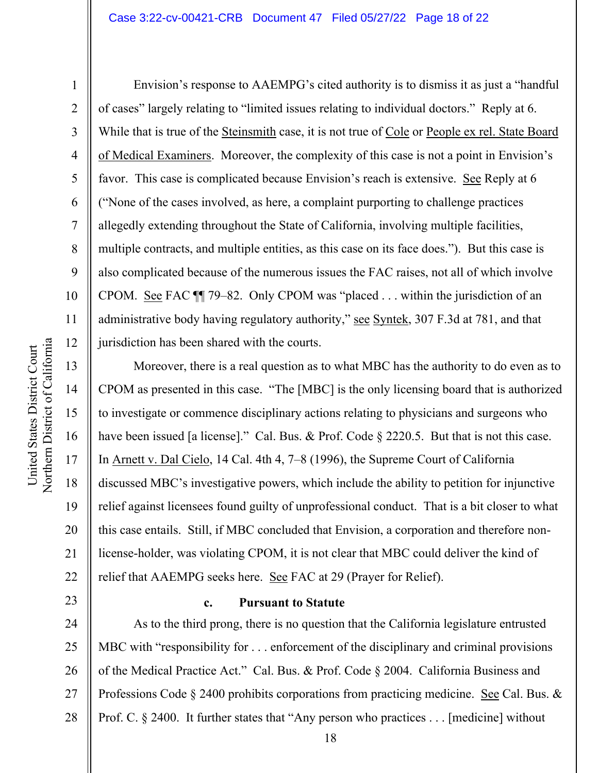1

2

3

4

5

6

7

8

9

10

11

12

13

14

15

16

17

18

19

20

21

22

23

Envision's response to AAEMPG's cited authority is to dismiss it as just a "handful of cases" largely relating to "limited issues relating to individual doctors." Reply at 6. While that is true of the Steinsmith case, it is not true of Cole or People ex rel. State Board of Medical Examiners. Moreover, the complexity of this case is not a point in Envision's favor. This case is complicated because Envision's reach is extensive. See Reply at 6 ("None of the cases involved, as here, a complaint purporting to challenge practices allegedly extending throughout the State of California, involving multiple facilities, multiple contracts, and multiple entities, as this case on its face does."). But this case is also complicated because of the numerous issues the FAC raises, not all of which involve CPOM. See FAC ¶¶ 79–82. Only CPOM was "placed . . . within the jurisdiction of an administrative body having regulatory authority," see Syntek, 307 F.3d at 781, and that jurisdiction has been shared with the courts.

Moreover, there is a real question as to what MBC has the authority to do even as to CPOM as presented in this case. "The [MBC] is the only licensing board that is authorized to investigate or commence disciplinary actions relating to physicians and surgeons who have been issued [a license]." Cal. Bus. & Prof. Code § 2220.5. But that is not this case. In Arnett v. Dal Cielo, 14 Cal. 4th 4, 7–8 (1996), the Supreme Court of California discussed MBC's investigative powers, which include the ability to petition for injunctive relief against licensees found guilty of unprofessional conduct. That is a bit closer to what this case entails. Still, if MBC concluded that Envision, a corporation and therefore nonlicense-holder, was violating CPOM, it is not clear that MBC could deliver the kind of relief that AAEMPG seeks here. See FAC at 29 (Prayer for Relief).

# **c. Pursuant to Statute**

24 25 26 27 28 As to the third prong, there is no question that the California legislature entrusted MBC with "responsibility for . . . enforcement of the disciplinary and criminal provisions of the Medical Practice Act." Cal. Bus. & Prof. Code § 2004. California Business and Professions Code § 2400 prohibits corporations from practicing medicine. See Cal. Bus. & Prof. C. § 2400. It further states that "Any person who practices . . . [medicine] without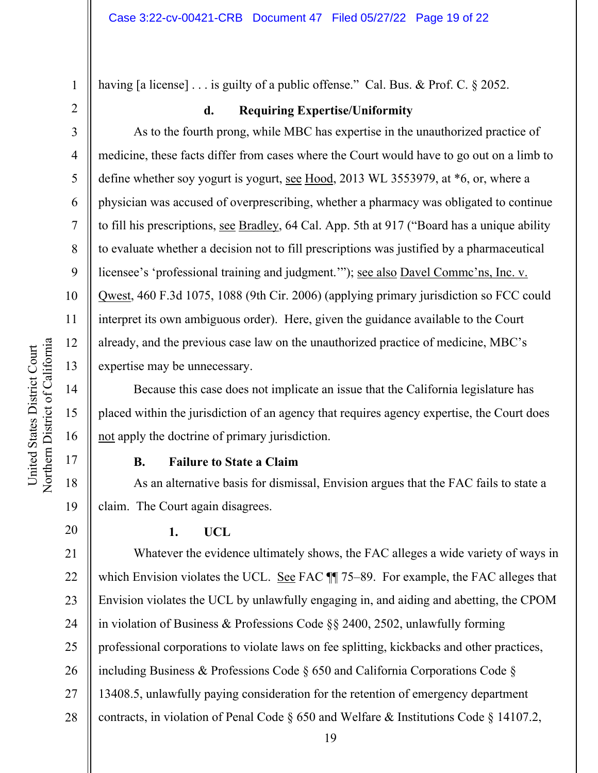having [a license] . . . is guilty of a public offense." Cal. Bus. & Prof. C. § 2052.

2 3

4

5

6

7

8

9

10

11

12

13

14

15

16

17

18

19

20

1

# **d. Requiring Expertise/Uniformity**

As to the fourth prong, while MBC has expertise in the unauthorized practice of medicine, these facts differ from cases where the Court would have to go out on a limb to define whether soy yogurt is yogurt, see Hood, 2013 WL 3553979, at \*6, or, where a physician was accused of overprescribing, whether a pharmacy was obligated to continue to fill his prescriptions, see Bradley, 64 Cal. App. 5th at 917 ("Board has a unique ability to evaluate whether a decision not to fill prescriptions was justified by a pharmaceutical licensee's 'professional training and judgment.'"); see also Davel Commc'ns, Inc. v. Qwest, 460 F.3d 1075, 1088 (9th Cir. 2006) (applying primary jurisdiction so FCC could interpret its own ambiguous order). Here, given the guidance available to the Court already, and the previous case law on the unauthorized practice of medicine, MBC's expertise may be unnecessary.

Because this case does not implicate an issue that the California legislature has placed within the jurisdiction of an agency that requires agency expertise, the Court does not apply the doctrine of primary jurisdiction.

# **B. Failure to State a Claim**

As an alternative basis for dismissal, Envision argues that the FAC fails to state a claim. The Court again disagrees.

# **1. UCL**

21 22 23 24 25 26 27 28 Whatever the evidence ultimately shows, the FAC alleges a wide variety of ways in which Envision violates the UCL. See FAC  $\P$  75–89. For example, the FAC alleges that Envision violates the UCL by unlawfully engaging in, and aiding and abetting, the CPOM in violation of Business & Professions Code §§ 2400, 2502, unlawfully forming professional corporations to violate laws on fee splitting, kickbacks and other practices, including Business & Professions Code § 650 and California Corporations Code § 13408.5, unlawfully paying consideration for the retention of emergency department contracts, in violation of Penal Code § 650 and Welfare & Institutions Code § 14107.2,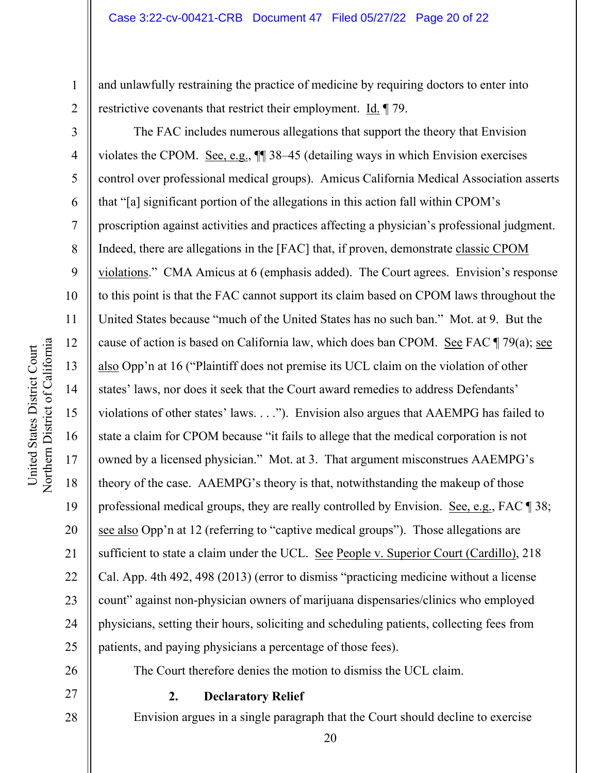and unlawfully restraining the practice of medicine by requiring doctors to enter into restrictive covenants that restrict their employment. Id. ¶ 79.

The FAC includes numerous allegations that support the theory that Envision violates the CPOM. See, e.g., ¶¶ 38–45 (detailing ways in which Envision exercises control over professional medical groups). Amicus California Medical Association asserts that "[a] significant portion of the allegations in this action fall within CPOM's proscription against activities and practices affecting a physician's professional judgment. Indeed, there are allegations in the [FAC] that, if proven, demonstrate classic CPOM violations." CMA Amicus at 6 (emphasis added). The Court agrees. Envision's response to this point is that the FAC cannot support its claim based on CPOM laws throughout the United States because "much of the United States has no such ban." Mot. at 9. But the cause of action is based on California law, which does ban CPOM. See FAC ¶ 79(a); see also Opp'n at 16 ("Plaintiff does not premise its UCL claim on the violation of other states' laws, nor does it seek that the Court award remedies to address Defendants' violations of other states' laws. . . ."). Envision also argues that AAEMPG has failed to state a claim for CPOM because "it fails to allege that the medical corporation is not owned by a licensed physician." Mot. at 3. That argument misconstrues AAEMPG's theory of the case. AAEMPG's theory is that, notwithstanding the makeup of those professional medical groups, they are really controlled by Envision. See, e.g., FAC 1 38; see also Opp'n at 12 (referring to "captive medical groups"). Those allegations are sufficient to state a claim under the UCL. See People v. Superior Court (Cardillo), 218 Cal. App. 4th 492, 498 (2013) (error to dismiss "practicing medicine without a license count" against non-physician owners of marijuana dispensaries/clinics who employed physicians, setting their hours, soliciting and scheduling patients, collecting fees from patients, and paying physicians a percentage of those fees).

26

27

28

#### **2. Declaratory Relief**

Envision argues in a single paragraph that the Court should decline to exercise

The Court therefore denies the motion to dismiss the UCL claim.

1

2

3

4

5

6

7

8

9

10

11

12

13

14

15

16

17

18

19

20

21

22

23

24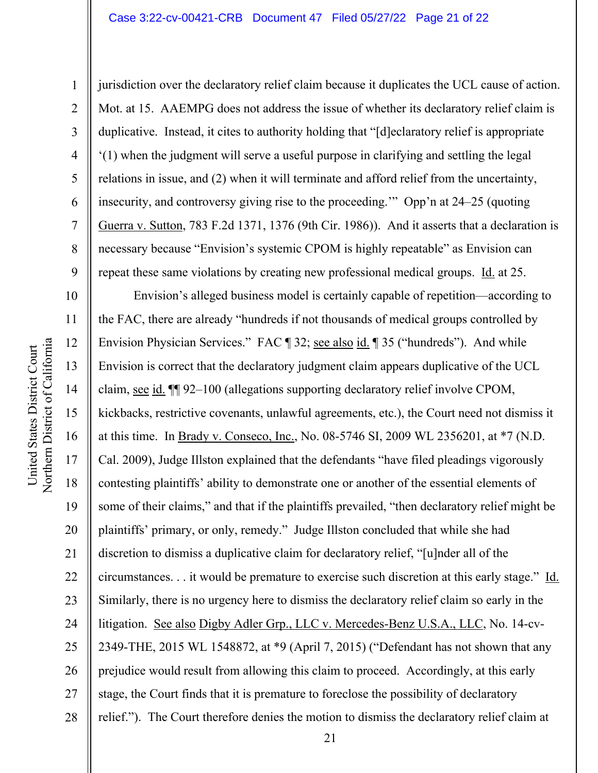#### Case 3:22-cv-00421-CRB Document 47 Filed 05/27/22 Page 21 of 22

Northern District of California Northern District of California United States District Court United States District Court

1

2

3

4

5

6

7

8

9

12

13

15

17

18

19

jurisdiction over the declaratory relief claim because it duplicates the UCL cause of action. Mot. at 15. AAEMPG does not address the issue of whether its declaratory relief claim is duplicative. Instead, it cites to authority holding that "[d]eclaratory relief is appropriate '(1) when the judgment will serve a useful purpose in clarifying and settling the legal relations in issue, and (2) when it will terminate and afford relief from the uncertainty, insecurity, and controversy giving rise to the proceeding.'" Opp'n at 24–25 (quoting Guerra v. Sutton, 783 F.2d 1371, 1376 (9th Cir. 1986)). And it asserts that a declaration is necessary because "Envision's systemic CPOM is highly repeatable" as Envision can repeat these same violations by creating new professional medical groups. Id. at 25.

10 11 14 16 20 21 22 23 24 25 26 27 28 Envision's alleged business model is certainly capable of repetition—according to the FAC, there are already "hundreds if not thousands of medical groups controlled by Envision Physician Services." FAC ¶ 32; <u>see also id.</u> ¶ 35 ("hundreds"). And while Envision is correct that the declaratory judgment claim appears duplicative of the UCL claim, see id. ¶¶ 92–100 (allegations supporting declaratory relief involve CPOM, kickbacks, restrictive covenants, unlawful agreements, etc.), the Court need not dismiss it at this time. In Brady v. Conseco, Inc., No. 08-5746 SI, 2009 WL 2356201, at \*7 (N.D. Cal. 2009), Judge Illston explained that the defendants "have filed pleadings vigorously contesting plaintiffs' ability to demonstrate one or another of the essential elements of some of their claims," and that if the plaintiffs prevailed, "then declaratory relief might be plaintiffs' primary, or only, remedy." Judge Illston concluded that while she had discretion to dismiss a duplicative claim for declaratory relief, "[u]nder all of the circumstances. . . it would be premature to exercise such discretion at this early stage." Id. Similarly, there is no urgency here to dismiss the declaratory relief claim so early in the litigation. See also Digby Adler Grp., LLC v. Mercedes-Benz U.S.A., LLC, No. 14-cv-2349-THE, 2015 WL 1548872, at \*9 (April 7, 2015) ("Defendant has not shown that any prejudice would result from allowing this claim to proceed. Accordingly, at this early stage, the Court finds that it is premature to foreclose the possibility of declaratory relief."). The Court therefore denies the motion to dismiss the declaratory relief claim at